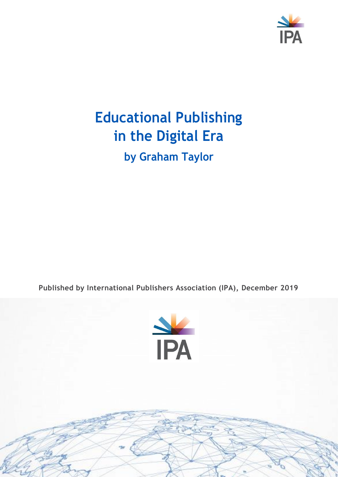

# **Educational Publishing in the Digital Era by Graham Taylor**

**Published by International Publishers Association (IPA), December 2019**

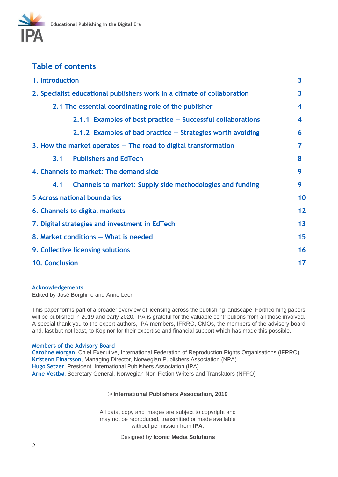

#### **Table of contents**

| 1. Introduction                                                         | 3  |
|-------------------------------------------------------------------------|----|
| 2. Specialist educational publishers work in a climate of collaboration | 3  |
| 2.1 The essential coordinating role of the publisher                    | 4  |
| 2.1.1 Examples of best practice - Successful collaborations             | 4  |
| 2.1.2 Examples of bad practice – Strategies worth avoiding              | 6  |
| 3. How the market operates – The road to digital transformation         | 7  |
| <b>Publishers and EdTech</b><br>3.1                                     | 8  |
| 4. Channels to market: The demand side                                  | 9  |
| Channels to market: Supply side methodologies and funding<br>4.1        | 9  |
| <b>5 Across national boundaries</b>                                     | 10 |
| 6. Channels to digital markets                                          | 12 |
| 7. Digital strategies and investment in EdTech                          | 13 |
| 8. Market conditions - What is needed                                   | 15 |
| 9. Collective licensing solutions                                       | 16 |
| <b>10. Conclusion</b>                                                   | 17 |

#### **Acknowledgements**

Edited by José Borghino and Anne Leer

This paper forms part of a broader overview of licensing across the publishing landscape. Forthcoming papers will be published in 2019 and early 2020. IPA is grateful for the valuable contributions from all those involved. A special thank you to the expert authors, IPA members, IFRRO, CMOs, the members of the advisory board and, last but not least, to Kopinor for their expertise and financial support which has made this possible.

#### **Members of the Advisory Board**

**Caroline Morgan**, Chief Executive, International Federation of Reproduction Rights Organisations (IFRRO) **Kristenn Einarsson**, Managing Director, Norwegian Publishers Association (NPA) **Hugo Setzer**, President, International Publishers Association (IPA) **Arne Vestbø**, Secretary General, Norwegian Non-Fiction Writers and Translators (NFFO)

#### © **International Publishers Association, 2019**

All data, copy and images are subject to copyright and may not be reproduced, transmitted or made available without permission from **IPA**.

Designed by **Iconic Media Solutions**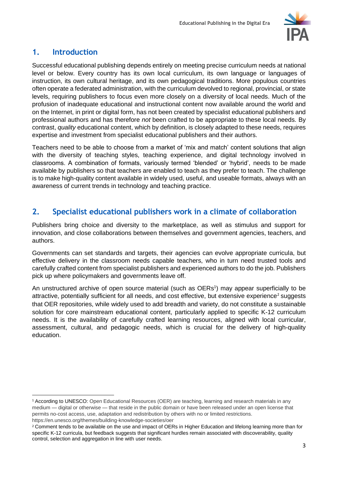

## **1. Introduction**

Successful educational publishing depends entirely on meeting precise curriculum needs at national level or below. Every country has its own local curriculum, its own language or languages of instruction, its own cultural heritage, and its own pedagogical traditions. More populous countries often operate a federated administration, with the curriculum devolved to regional, provincial, or state levels, requiring publishers to focus even more closely on a diversity of local needs. Much of the profusion of inadequate educational and instructional content now available around the world and on the Internet, in print or digital form, has not been created by specialist educational publishers and professional authors and has therefore *not* been crafted to be appropriate to these local needs. By contrast, *quality* educational content, which by definition, is closely adapted to these needs, requires expertise and investment from specialist educational publishers and their authors.

Teachers need to be able to choose from a market of 'mix and match' content solutions that align with the diversity of teaching styles, teaching experience, and digital technology involved in classrooms. A combination of formats, variously termed 'blended' or 'hybrid', needs to be made available by publishers so that teachers are enabled to teach as they prefer to teach. The challenge is to make high-quality content available in widely used, useful, and useable formats, always with an awareness of current trends in technology and teaching practice.

#### **2. Specialist educational publishers work in a climate of collaboration**

Publishers bring choice and diversity to the marketplace, as well as stimulus and support for innovation, and close collaborations between themselves and government agencies, teachers, and authors.

Governments can set standards and targets, their agencies can evolve appropriate curricula, but effective delivery in the classroom needs capable teachers, who in turn need trusted tools and carefully crafted content from specialist publishers and experienced authors to do the job. Publishers pick up where policymakers and governments leave off.

An unstructured archive of open source material (such as OERs<sup>1</sup>) may appear superficially to be attractive, potentially sufficient for all needs, and cost effective, but extensive experience<sup>2</sup> suggests that OER repositories, while widely used to add breadth and variety, do not constitute a sustainable solution for core mainstream educational content, particularly applied to specific K-12 curriculum needs. It is the availability of carefully crafted learning resources, aligned with local curricular, assessment, cultural, and pedagogic needs, which is crucial for the delivery of high-quality education.

<sup>1</sup> According to UNESCO: Open Educational Resources (OER) are teaching, learning and research materials in any medium — digital or otherwise — that reside in the public domain or have been released under an open license that permits no-cost access, use, adaptation and redistribution by others with no or limited restrictions. https://en.unesco.org/themes/building-knowledge-societies/oer

<sup>2</sup> Comment tends to be available on the use and impact of OERs in Higher Education and lifelong learning more than for specific K-12 curricula, but feedback suggests that significant hurdles remain associated with discoverability, quality control, selection and aggregation in line with user needs.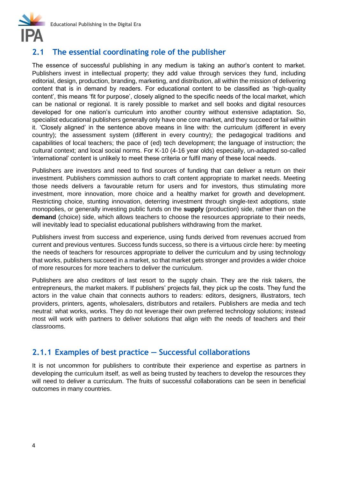

## **2.1 The essential coordinating role of the publisher**

The essence of successful publishing in any medium is taking an author's content to market. Publishers invest in intellectual property; they add value through services they fund, including editorial, design, production, branding, marketing, and distribution, all within the mission of delivering content that is in demand by readers. For educational content to be classified as 'high-quality content', this means 'fit for purpose', closely aligned to the specific needs of the local market, which can be national or regional. It is rarely possible to market and sell books and digital resources developed for one nation's curriculum into another country without extensive adaptation. So, specialist educational publishers generally only have one core market, and they succeed or fail within it. 'Closely aligned' in the sentence above means in line with: the curriculum (different in every country); the assessment system (different in every country); the pedagogical traditions and capabilities of local teachers; the pace of (ed) tech development; the language of instruction; the cultural context; and local social norms. For K-10 (4-16 year olds) especially, un-adapted so-called 'international' content is unlikely to meet these criteria or fulfil many of these local needs.

Publishers are investors and need to find sources of funding that can deliver a return on their investment. Publishers commission authors to craft content appropriate to market needs. Meeting those needs delivers a favourable return for users and for investors, thus stimulating more investment, more innovation, more choice and a healthy market for growth and development. Restricting choice, stunting innovation, deterring investment through single-text adoptions, state monopolies, or generally investing public funds on the **supply** (production) side, rather than on the **demand** (choice) side, which allows teachers to choose the resources appropriate to their needs, will inevitably lead to specialist educational publishers withdrawing from the market.

Publishers invest from success and experience, using funds derived from revenues accrued from current and previous ventures. Success funds success, so there is a virtuous circle here: by meeting the needs of teachers for resources appropriate to deliver the curriculum and by using technology that works, publishers succeed in a market, so that market gets stronger and provides a wider choice of more resources for more teachers to deliver the curriculum.

Publishers are also creditors of last resort to the supply chain. They are the risk takers, the entrepreneurs, the market makers. If publishers' projects fail, they pick up the costs. They fund the actors in the value chain that connects authors to readers: editors, designers, illustrators, tech providers, printers, agents, wholesalers, distributors and retailers. Publishers are media and tech neutral: what works, works. They do not leverage their own preferred technology solutions; instead most will work with partners to deliver solutions that align with the needs of teachers and their classrooms.

#### **2.1.1 Examples of best practice — Successful collaborations**

It is not uncommon for publishers to contribute their experience and expertise as partners in developing the curriculum itself, as well as being trusted by teachers to develop the resources they will need to deliver a curriculum. The fruits of successful collaborations can be seen in beneficial outcomes in many countries.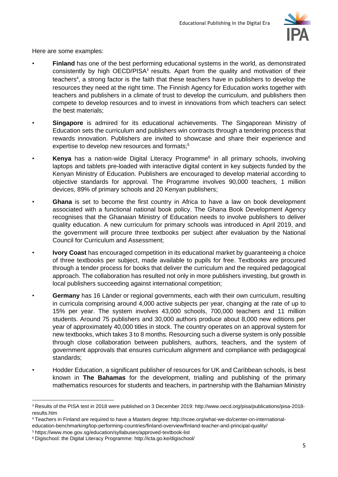

Here are some examples:

- **Finland** has one of the best performing educational systems in the world, as demonstrated consistently by high  $OECD/PISA<sup>3</sup>$  results. Apart from the quality and motivation of their teachers<sup>4</sup>, a strong factor is the faith that these teachers have in publishers to develop the resources they need at the right time. The Finnish Agency for Education works together with teachers and publishers in a climate of trust to develop the curriculum, and publishers then compete to develop resources and to invest in innovations from which teachers can select the best materials;
- **Singapore** is admired for its educational achievements. The Singaporean Ministry of Education sets the curriculum and publishers win contracts through a tendering process that rewards innovation. Publishers are invited to showcase and share their experience and expertise to develop new resources and formats;<sup>5</sup>
- **Kenya** has a nation-wide Digital Literacy Programme<sup>6</sup> in all primary schools, involving laptops and tablets pre-loaded with interactive digital content in key subjects funded by the Kenyan Ministry of Education. Publishers are encouraged to develop material according to objective standards for approval. The Programme involves 90,000 teachers, 1 million devices, 89% of primary schools and 20 Kenyan publishers;
- **Ghana** is set to become the first country in Africa to have a law on book development associated with a functional national book policy. The Ghana Book Development Agency recognises that the Ghanaian Ministry of Education needs to involve publishers to deliver quality education. A new curriculum for primary schools was introduced in April 2019, and the government will procure three textbooks per subject after evaluation by the National Council for Curriculum and Assessment;
- **Ivory Coast** has encouraged competition in its educational market by guaranteeing a choice of three textbooks per subject, made available to pupils for free. Textbooks are procured through a tender process for books that deliver the curriculum and the required pedagogical approach. The collaboration has resulted not only in more publishers investing, but growth in local publishers succeeding against international competition;
- **Germany** has 16 Länder or regional governments, each with their own curriculum, resulting in curricula comprising around 4,000 active subjects per year, changing at the rate of up to 15% per year. The system involves 43,000 schools, 700,000 teachers and 11 million students. Around 75 publishers and 30,000 authors produce about 8,000 new editions per year of approximately 40,000 titles in stock. The country operates on an approval system for new textbooks, which takes 3 to 8 months. Resourcing such a diverse system is only possible through close collaboration between publishers, authors, teachers, and the system of government approvals that ensures curriculum alignment and compliance with pedagogical standards;
- Hodder Education, a significant publisher of resources for UK and Caribbean schools, is best known in **The Bahamas** for the development, trialling and publishing of the primary mathematics resources for students and teachers, in partnership with the Bahamian Ministry

<sup>3</sup> Results of the PISA test in 2018 were published on 3 December 2019: http://www.oecd.org/pisa/publications/pisa-2018 results.htm

<sup>4</sup> Teachers in Finland are required to have a Masters degree: http://ncee.org/what-we-do/center-on-international-

education-benchmarking/top-performing-countries/finland-overview/finland-teacher-and-principal-quality/

<sup>5</sup> <https://www.moe.gov.sg/education/syllabuses/approved-textbook-list>

<sup>6</sup> [Digischool: the Digital Literacy Programme:](http://icta.go.ke/digischool/) http://icta.go.ke/digischool/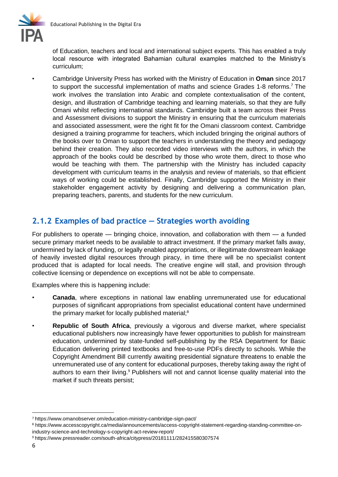

of Education, teachers and local and international subject experts. This has enabled a truly local resource with integrated Bahamian cultural examples matched to the Ministry's curriculum;

• Cambridge University Press has worked with the Ministry of Education in **Oman** since 2017 to support the successful implementation of maths and science Grades 1-8 reforms.<sup>7</sup> The work involves the translation into Arabic and complete contextualisation of the content, design, and illustration of Cambridge teaching and learning materials, so that they are fully Omani whilst reflecting international standards. Cambridge built a team across their Press and Assessment divisions to support the Ministry in ensuring that the curriculum materials and associated assessment, were the right fit for the Omani classroom context. Cambridge designed a training programme for teachers, which included bringing the original authors of the books over to Oman to support the teachers in understanding the theory and pedagogy behind their creation. They also recorded video interviews with the authors, in which the approach of the books could be described by those who wrote them, direct to those who would be teaching with them. The partnership with the Ministry has included capacity development with curriculum teams in the analysis and review of materials, so that efficient ways of working could be established. Finally, Cambridge supported the Ministry in their stakeholder engagement activity by designing and delivering a communication plan, preparing teachers, parents, and students for the new curriculum.

#### **2.1.2 Examples of bad practice — Strategies worth avoiding**

For publishers to operate — bringing choice, innovation, and collaboration with them — a funded secure primary market needs to be available to attract investment. If the primary market falls away, undermined by lack of funding, or legally enabled appropriations, or illegitimate downstream leakage of heavily invested digital resources through piracy, in time there will be no specialist content produced that is adapted for local needs. The creative engine will stall, and provision through collective licensing or dependence on exceptions will not be able to compensate.

Examples where this is happening include:

- **Canada**, where exceptions in national law enabling unremunerated use for educational purposes of significant appropriations from specialist educational content have undermined the primary market for locally published material;<sup>8</sup>
- **Republic of South Africa**, previously a vigorous and diverse market, where specialist educational publishers now increasingly have fewer opportunities to publish for mainstream education, undermined by state-funded self-publishing by the RSA Department for Basic Education delivering printed textbooks and free-to-use PDFs directly to schools. While the Copyright Amendment Bill currently awaiting presidential signature threatens to enable the unremunerated use of any content for educational purposes, thereby taking away the right of authors to earn their living.<sup>9</sup> Publishers will not and cannot license quality material into the market if such threats persist;

<sup>7</sup> <https://www.omanobserver.om/education-ministry-cambridge-sign-pact/>

<sup>8</sup> [https://www.accesscopyright.ca/media/announcements/access-copyright-statement-regarding-standing-committee-on](https://www.accesscopyright.ca/media/announcements/access-copyright-statement-regarding-standing-committee-on-industry-science-and-technology-s-copyright-act-review-report/)[industry-science-and-technology-s-copyright-act-review-report/](https://www.accesscopyright.ca/media/announcements/access-copyright-statement-regarding-standing-committee-on-industry-science-and-technology-s-copyright-act-review-report/)

<sup>9</sup> <https://www.pressreader.com/south-africa/citypress/20181111/282415580307574>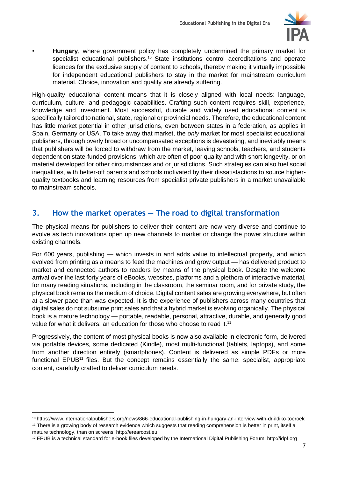

• **Hungary**, where government policy has completely undermined the primary market for specialist educational publishers.<sup>10</sup> State institutions control accreditations and operate licences for the exclusive supply of content to schools, thereby making it virtually impossible for independent educational publishers to stay in the market for mainstream curriculum material. Choice, innovation and quality are already suffering.

High-quality educational content means that it is closely aligned with local needs: language, curriculum, culture, and pedagogic capabilities. Crafting such content requires skill, experience, knowledge and investment. Most successful, durable and widely used educational content is specifically tailored to national, state, regional or provincial needs. Therefore, the educational content has little market potential in other jurisdictions, even between states in a federation, as applies in Spain, Germany or USA. To take away that market, the *only* market for most specialist educational publishers, through overly broad or uncompensated exceptions is devastating, and inevitably means that publishers will be forced to withdraw from the market, leaving schools, teachers, and students dependent on state-funded provisions, which are often of poor quality and with short longevity, or on material developed for other circumstances and or jurisdictions. Such strategies can also fuel social inequalities, with better-off parents and schools motivated by their dissatisfactions to source higherquality textbooks and learning resources from specialist private publishers in a market unavailable to mainstream schools.

# **3. How the market operates — The road to digital transformation**

The physical means for publishers to deliver their content are now very diverse and continue to evolve as tech innovations open up new channels to market or change the power structure within existing channels.

For 600 years, publishing — which invests in and adds value to intellectual property, and which evolved from printing as a means to feed the machines and grow output — has delivered product to market and connected authors to readers by means of the physical book. Despite the welcome arrival over the last forty years of eBooks, websites, platforms and a plethora of interactive material, for many reading situations, including in the classroom, the seminar room, and for private study, the physical book remains the medium of choice. Digital content sales are growing everywhere, but often at a slower pace than was expected. It is the experience of publishers across many countries that digital sales do not subsume print sales and that a hybrid market is evolving organically. The physical book is a mature technology — portable, readable, personal, attractive, durable, and generally good value for what it delivers: an education for those who choose to read it.<sup>11</sup>

Progressively, the content of most physical books is now also available in electronic form, delivered via portable devices, some dedicated (Kindle), most multi-functional (tablets, laptops), and some from another direction entirely (smartphones). Content is delivered as simple PDFs or more functional EPUB $^{12}$  files. But the concept remains essentially the same: specialist, appropriate content, carefully crafted to deliver curriculum needs.

<sup>10</sup> <https://www.internationalpublishers.org/news/866-educational-publishing-in-hungary-an-interview-with-dr-ildiko-toeroek> <sup>11</sup> There is a growing body of research evidence which suggests that reading comprehension is better in print, itself a mature technology, than on screens: http://erearcost.eu

<sup>12</sup> EPUB is a technical standard for e-book files developed by the International Digital Publishing Forum: http://idpf.org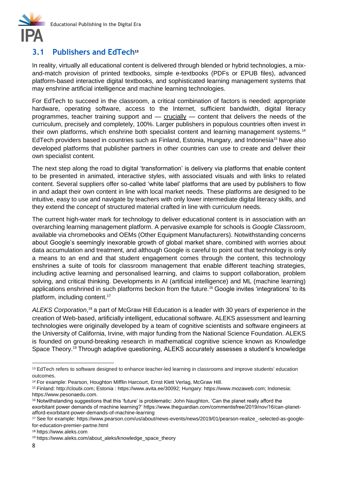

#### **3.1 Publishers and EdTech<sup>13</sup>**

In reality, virtually all educational content is delivered through blended or hybrid technologies, a mixand-match provision of printed textbooks, simple e-textbooks (PDFs or EPUB files), advanced platform-based interactive digital textbooks, and sophisticated learning management systems that may enshrine artificial intelligence and machine learning technologies.

For EdTech to succeed in the classroom, a critical combination of factors is needed: appropriate hardware, operating software, access to the Internet, sufficient bandwidth, digital literacy programmes, teacher training support and — crucially — content that delivers the needs of the curriculum, precisely and completely, 100%. Larger publishers in populous countries often invest in their own platforms, which enshrine both specialist content and learning management systems.<sup>14</sup> EdTech providers based in countries such as Finland, Estonia, Hungary, and Indonesia<sup>15</sup> have also developed platforms that publisher partners in other countries can use to create and deliver their own specialist content.

The next step along the road to digital 'transformation' is delivery via platforms that enable content to be presented in animated, interactive styles, with associated visuals and with links to related content. Several suppliers offer so-called 'white label' platforms that are used by publishers to flow in and adapt their own content in line with local market needs. These platforms are designed to be intuitive, easy to use and navigate by teachers with only lower intermediate digital literacy skills, and they extend the concept of structured material crafted in line with curriculum needs.

The current high-water mark for technology to deliver educational content is in association with an overarching learning management platform. A pervasive example for schools is *Google Classroom*, available via chromebooks and OEMs (Other Equipment Manufacturers). Notwithstanding concerns about Google's seemingly inexorable growth of global market share, combined with worries about data accumulation and treatment, and although Google is careful to point out that technology is only a means to an end and that student engagement comes through the content, this technology enshrines a suite of tools for classroom management that enable different teaching strategies, including active learning and personalised learning, and claims to support collaboration, problem solving, and critical thinking. Developments in AI (artificial intelligence) and ML (machine learning) applications enshrined in such platforms beckon from the future.<sup>16</sup> Google invites 'integrations' to its platform, including content.<sup>17</sup>

ALEKS Corporation,<sup>18</sup> a part of McGraw Hill Education is a leader with 30 years of experience in the creation of Web-based, artificially intelligent, educational software. ALEKS assessment and learning technologies were originally developed by a team of cognitive scientists and software engineers at the University of California, Irvine, with major funding from the National Science Foundation. ALEKS is founded on ground-breaking research in mathematical cognitive science known as Knowledge Space Theory.<sup>19</sup> Through adaptive questioning, ALEKS accurately assesses a student's knowledge

<sup>&</sup>lt;sup>13</sup> EdTech refers to software designed to enhance teacher-led learning in classrooms and improve students' education outcomes.

<sup>&</sup>lt;sup>14</sup> For example: Pearson, [Houghton Mifflin Harcourt,](https://www.hmhco.com/classroom-solutions) [Ernst Klett Verlag,](https://www.klett-gruppe.de/en/business-units/publishing-houses-and-educational-media/) [McGraw Hill](https://www.mheducation.com/).

<sup>15</sup> Finland: [http://cloubi.com;](http://cloubi.com/) Estonia : [https://www.avita.ee/30092;](https://www.avita.ee/30092) Hungary: [https://www.mozaweb.com;](https://www.mozaweb.com/) Indonesia: https://www.pesonaedu.com.

<sup>16</sup> Notwithstanding suggestions that this 'future' is problematic: John Naughton, 'Can the planet really afford the exorbitant power demands of machine learning?' https://www.theguardian.com/commentisfree/2019/nov/16/can-planetafford-exorbitant-power-demands-of-machine-learning

<sup>17</sup> See for example: [https://www.pearson.com/us/about/news-events/news/2019/01/pearson-realize\\_-selected-as-google](https://www.pearson.com/us/about/news-events/news/2019/01/pearson-realize_-selected-as-google-for-education-premier-partne.html)[for-education-premier-partne.html](https://www.pearson.com/us/about/news-events/news/2019/01/pearson-realize_-selected-as-google-for-education-premier-partne.html)

<sup>18</sup> https://www.aleks.com

<sup>19</sup> [https://www.aleks.com/about\\_aleks/knowledge\\_space\\_theory](https://www.aleks.com/about_aleks/knowledge_space_theory)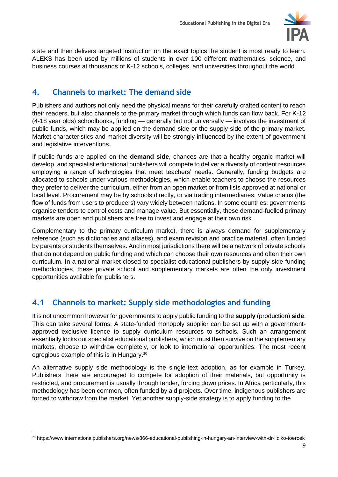

state and then delivers targeted instruction on the exact topics the student is most ready to learn. ALEKS has been used by millions of students in over 100 different mathematics, science, and business courses at thousands of K-12 schools, colleges, and universities throughout the world.

## **4. Channels to market: The demand side**

Publishers and authors not only need the physical means for their carefully crafted content to reach their readers, but also channels to the primary market through which funds can flow back. For K-12 (4-18 year olds) schoolbooks, funding — generally but not universally — involves the investment of public funds, which may be applied on the demand side or the supply side of the primary market. Market characteristics and market diversity will be strongly influenced by the extent of government and legislative interventions.

If public funds are applied on the **demand side**, chances are that a healthy organic market will develop, and specialist educational publishers will compete to deliver a diversity of content resources employing a range of technologies that meet teachers' needs. Generally, funding budgets are allocated to schools under various methodologies, which enable teachers to choose the resources they prefer to deliver the curriculum, either from an open market or from lists approved at national or local level. Procurement may be by schools directly, or via trading intermediaries. Value chains (the flow of funds from users to producers) vary widely between nations. In some countries, governments organise tenders to control costs and manage value. But essentially, these demand-fuelled primary markets are open and publishers are free to invest and engage at their own risk.

Complementary to the primary curriculum market, there is always demand for supplementary reference (such as dictionaries and atlases), and exam revision and practice material, often funded by parents or students themselves. And in most jurisdictions there will be a network of private schools that do not depend on public funding and which can choose their own resources and often their own curriculum. In a national market closed to specialist educational publishers by supply side funding methodologies, these private school and supplementary markets are often the only investment opportunities available for publishers.

# **4.1 Channels to market: Supply side methodologies and funding**

It is not uncommon however for governments to apply public funding to the **supply** (production) **side**. This can take several forms. A state-funded monopoly supplier can be set up with a governmentapproved exclusive licence to supply curriculum resources to schools. Such an arrangement essentially locks out specialist educational publishers, which must then survive on the supplementary markets, choose to withdraw completely, or look to international opportunities. The most recent egregious example of this is in Hungary.<sup>20</sup>

An alternative supply side methodology is the single-text adoption, as for example in Turkey. Publishers there are encouraged to compete for adoption of their materials, but opportunity is restricted, and procurement is usually through tender, forcing down prices. In Africa particularly, this methodology has been common, often funded by aid projects. Over time, indigenous publishers are forced to withdraw from the market. Yet another supply-side strategy is to apply funding to the

<sup>20</sup> <https://www.internationalpublishers.org/news/866-educational-publishing-in-hungary-an-interview-with-dr-ildiko-toeroek>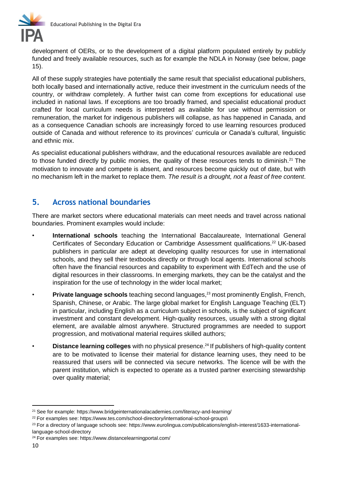

development of OERs, or to the development of a digital platform populated entirely by publicly funded and freely available resources, such as for example the NDLA in Norway (see below, page 15).

All of these supply strategies have potentially the same result that specialist educational publishers, both locally based and internationally active, reduce their investment in the curriculum needs of the country, or withdraw completely. A further twist can come from exceptions for educational use included in national laws. If exceptions are too broadly framed, and specialist educational product crafted for local curriculum needs is interpreted as available for use without permission or remuneration, the market for indigenous publishers will collapse, as has happened in Canada, and as a consequence Canadian schools are increasingly forced to use learning resources produced outside of Canada and without reference to its provinces' curricula or Canada's cultural, linguistic and ethnic mix.

As specialist educational publishers withdraw, and the educational resources available are reduced to those funded directly by public monies, the quality of these resources tends to diminish.<sup>21</sup> The motivation to innovate and compete is absent, and resources become quickly out of date, but with no mechanism left in the market to replace them. *The result is a drought, not a feast of free content*.

#### **5. Across national boundaries**

There are market sectors where educational materials can meet needs and travel across national boundaries. Prominent examples would include:

- International schools teaching the International Baccalaureate, International General Certificates of Secondary Education or Cambridge Assessment qualifications.<sup>22</sup> UK-based publishers in particular are adept at developing quality resources for use in international schools, and they sell their textbooks directly or through local agents. International schools often have the financial resources and capability to experiment with EdTech and the use of digital resources in their classrooms. In emerging markets, they can be the catalyst and the inspiration for the use of technology in the wider local market;
- **Private language schools** teaching second languages,<sup>23</sup> most prominently English, French, Spanish, Chinese, or Arabic. The large global market for English Language Teaching (ELT) in particular, including English as a curriculum subject in schools, is the subject of significant investment and constant development. High-quality resources, usually with a strong digital element, are available almost anywhere. Structured programmes are needed to support progression, and motivational material requires skilled authors;
- **Distance learning colleges** with no physical presence.<sup>24</sup> If publishers of high-quality content are to be motivated to license their material for distance learning uses, they need to be reassured that users will be connected via secure networks. The licence will be with the parent institution, which is expected to operate as a trusted partner exercising stewardship over quality material;

<sup>21</sup> See for example:<https://www.bridgeinternationalacademies.com/literacy-and-learning/>

<sup>&</sup>lt;sup>22</sup> For examples see: [https://www.tes.com/school-directory/international-school-groups\](https://www.tes.com/school-directory/international-school-groups)

<sup>&</sup>lt;sup>23</sup> For a directory of language schools see: [https://www.eurolingua.com/publications/english-interest/1633-international](https://www.eurolingua.com/publications/english-interest/1633-international-language-school-directory)[language-school-directory](https://www.eurolingua.com/publications/english-interest/1633-international-language-school-directory)

<sup>24</sup> For examples see:<https://www.distancelearningportal.com/>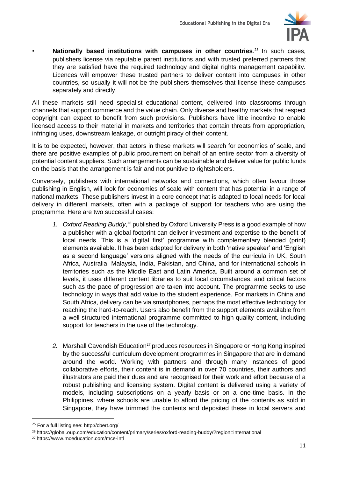

• **Nationally based institutions with campuses in other countries**. <sup>25</sup> In such cases, publishers license via reputable parent institutions and with trusted preferred partners that they are satisfied have the required technology and digital rights management capability. Licences will empower these trusted partners to deliver content into campuses in other countries, so usually it will not be the publishers themselves that license these campuses separately and directly.

All these markets still need specialist educational content, delivered into classrooms through channels that support commerce and the value chain. Only diverse and healthy markets that respect copyright can expect to benefit from such provisions. Publishers have little incentive to enable licensed access to their material in markets and territories that contain threats from appropriation, infringing uses, downstream leakage, or outright piracy of their content.

It is to be expected, however, that actors in these markets will search for economies of scale, and there are positive examples of public procurement on behalf of an entire sector from a diversity of potential content suppliers. Such arrangements can be sustainable and deliver value for public funds on the basis that the arrangement is fair and not punitive to rightsholders.

Conversely, publishers with international networks and connections, which often favour those publishing in English, will look for economies of scale with content that has potential in a range of national markets. These publishers invest in a core concept that is adapted to local needs for local delivery in different markets, often with a package of support for teachers who are using the programme. Here are two successful cases:

- *1. Oxford Reading Buddy*, <sup>26</sup> published by Oxford University Press is a good example of how a publisher with a global footprint can deliver investment and expertise to the benefit of local needs. This is a 'digital first' programme with complementary blended (print) elements available. It has been adapted for delivery in both 'native speaker' and 'English as a second language' versions aligned with the needs of the curricula in UK, South Africa, Australia, Malaysia, India, Pakistan, and China, and for international schools in territories such as the Middle East and Latin America. Built around a common set of levels, it uses different content libraries to suit local circumstances, and critical factors such as the pace of progression are taken into account. The programme seeks to use technology in ways that add value to the student experience. For markets in China and South Africa, delivery can be via smartphones, perhaps the most effective technology for reaching the hard-to-reach. Users also benefit from the support elements available from a well-structured international programme committed to high-quality content, including support for teachers in the use of the technology.
- 2. Marshall Cavendish Education<sup>27</sup> produces resources in Singapore or Hong Kong inspired by the successful curriculum development programmes in Singapore that are in demand around the world. Working with partners and through many instances of good collaborative efforts, their content is in demand in over 70 countries, their authors and illustrators are paid their dues and are recognised for their work and effort because of a robust publishing and licensing system. Digital content is delivered using a variety of models, including subscriptions on a yearly basis or on a one-time basis. In the Philippines, where schools are unable to afford the pricing of the contents as sold in Singapore, they have trimmed the contents and deposited these in local servers and

<sup>25</sup> For a full listing see:<http://cbert.org/>

<sup>26</sup> https://global.oup.com/education/content/primary/series/oxford-reading-buddy/?region=international

<sup>27</sup> https://www.mceducation.com/mce-intl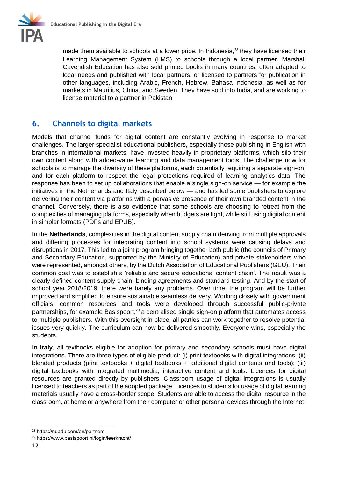

made them available to schools at a lower price. In Indonesia, $^{28}$  they have licensed their Learning Management System (LMS) to schools through a local partner. Marshall Cavendish Education has also sold printed books in many countries, often adapted to local needs and published with local partners, or licensed to partners for publication in other languages, including Arabic, French, Hebrew, Bahasa Indonesia, as well as for markets in Mauritius, China, and Sweden. They have sold into India, and are working to license material to a partner in Pakistan.

## **6. Channels to digital markets**

Models that channel funds for digital content are constantly evolving in response to market challenges. The larger specialist educational publishers, especially those publishing in English with branches in international markets, have invested heavily in proprietary platforms, which silo their own content along with added-value learning and data management tools. The challenge now for schools is to manage the diversity of these platforms, each potentially requiring a separate sign-on; and for each platform to respect the legal protections required of learning analytics data. The response has been to set up collaborations that enable a single sign-on service — for example the initiatives in the Netherlands and Italy described below — and has led some publishers to explore delivering their content via platforms with a pervasive presence of their own branded content in the channel. Conversely, there is also evidence that some schools are choosing to retreat from the complexities of managing platforms, especially when budgets are tight, while still using digital content in simpler formats (PDFs and EPUB).

In the **Netherlands**, complexities in the digital content supply chain deriving from multiple approvals and differing processes for integrating content into school systems were causing delays and disruptions in 2017. This led to a joint program bringing together both public (the councils of Primary and Secondary Education, supported by the Ministry of Education) and private stakeholders who were represented, amongst others, by the Dutch Association of Educational Publishers (GEU). Their common goal was to establish a 'reliable and secure educational content chain'. The result was a clearly defined content supply chain, binding agreements and standard testing. And by the start of school year 2018/2019, there were barely any problems. Over time, the program will be further improved and simplified to ensure sustainable seamless delivery. Working closely with government officials, common resources and tools were developed through successful public-private partnerships, for example Basispoort,<sup>29</sup> a centralised single sign-on platform that automates access to multiple publishers. With this oversight in place, all parties can work together to resolve potential issues very quickly. The curriculum can now be delivered smoothly. Everyone wins, especially the students.

In **Italy**, all textbooks eligible for adoption for primary and secondary schools must have digital integrations. There are three types of eligible product: (i) print textbooks with digital integrations; (ii) blended products (print textbooks + digital textbooks + additional digital contents and tools); (iii) digital textbooks with integrated multimedia, interactive content and tools. Licences for digital resources are granted directly by publishers. Classroom usage of digital integrations is usually licensed to teachers as part of the adopted package. Licences to students for usage of digital learning materials usually have a cross-border scope. Students are able to access the digital resource in the classroom, at home or anywhere from their computer or other personal devices through the Internet.

<sup>28</sup> <https://nuadu.com/en/partners>

<sup>29</sup> <https://www.basispoort.nl/login/leerkracht/>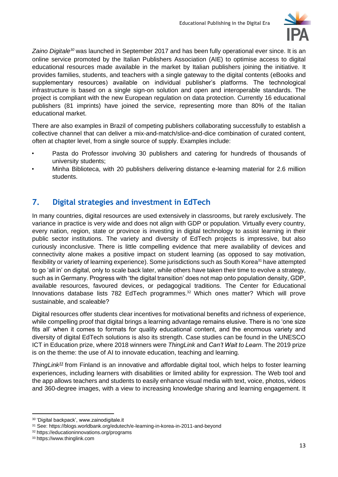

*Zaino Digitale<sup>30</sup>* was launched in September 2017 and has been fully operational ever since. It is an online service promoted by the Italian Publishers Association (AIE) to optimise access to digital educational resources made available in the market by Italian publishers joining the initiative. It provides families, students, and teachers with a single gateway to the digital contents (eBooks and supplementary resources) available on individual publisher's platforms. The technological infrastructure is based on a single sign-on solution and open and interoperable standards. The project is compliant with the new European regulation on data protection. Currently 16 educational publishers (81 imprints) have joined the service, representing more than 80% of the Italian educational market.

There are also examples in Brazil of competing publishers collaborating successfully to establish a collective channel that can deliver a mix-and-match/slice-and-dice combination of curated content, often at chapter level, from a single source of supply. Examples include:

- Pasta do Professor involving 30 publishers and catering for hundreds of thousands of university students;
- Minha Biblioteca, with 20 publishers delivering distance e-learning material for 2.6 million students.

# **7. Digital strategies and investment in EdTech**

In many countries, digital resources are used extensively in classrooms, but rarely exclusively. The variance in practice is very wide and does not align with GDP or population. Virtually every country, every nation, region, state or province is investing in digital technology to assist learning in their public sector institutions. The variety and diversity of EdTech projects is impressive, but also curiously inconclusive. There is little compelling evidence that mere availability of devices and connectivity alone makes a positive impact on student learning (as opposed to say motivation, flexibility or variety of learning experience). Some jurisdictions such as South Korea<sup>31</sup> have attempted to go 'all in' on digital, only to scale back later, while others have taken their time to evolve a strategy, such as in Germany. Progress with 'the digital transition' does not map onto population density, GDP, available resources, favoured devices, or pedagogical traditions. The Center for Educational Innovations database lists 782 EdTech programmes.<sup>32</sup> Which ones matter? Which will prove sustainable, and scaleable?

Digital resources offer students clear incentives for motivational benefits and richness of experience, while compelling proof that digital brings a learning advantage remains elusive. There is no 'one size fits all' when it comes to formats for quality educational content, and the enormous variety and diversity of digital EdTech solutions is also its strength. Case studies can be found in the UNESCO ICT in Education prize, where 2018 winners were *ThingLink* and *Can't Wait to Learn*. The 2019 prize is on the theme: the use of AI to innovate education, teaching and learning.

*ThingLink<sup>33</sup>* from Finland is an innovative and affordable digital tool, which helps to foster learning experiences, including learners with disabilities or limited ability for expression. The Web tool and the app allows teachers and students to easily enhance visual media with text, voice, photos, videos and 360-degree images, with a view to increasing knowledge sharing and learning engagement. It

<sup>30</sup> 'Digital backpack', www.zainodigitale.it

<sup>31</sup> See:<https://blogs.worldbank.org/edutech/e-learning-in-korea-in-2011-and-beyond>

<sup>32</sup> https://educationinnovations.org/programs

<sup>33</sup> https://www.thinglink.com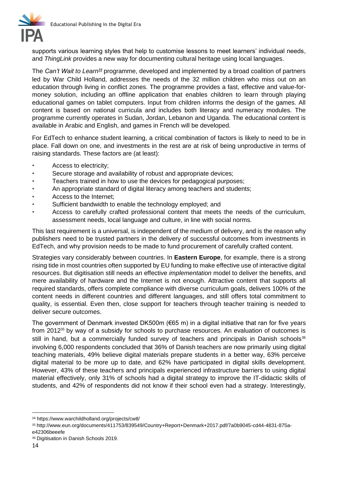

supports various learning styles that help to customise lessons to meet learners' individual needs, and *ThingLink* provides a new way for documenting cultural heritage using local languages.

The *Can't Wait to Learn<sup>34</sup>* programme, developed and implemented by a broad coalition of partners led by War Child Holland, addresses the needs of the 32 million children who miss out on an education through living in conflict zones. The programme provides a fast, effective and value-formoney solution, including an offline application that enables children to learn through playing educational games on tablet computers. Input from children informs the design of the games. All content is based on national curricula and includes both literacy and numeracy modules. The programme currently operates in Sudan, Jordan, Lebanon and Uganda. The educational content is available in Arabic and English, and games in French will be developed.

For EdTech to enhance student learning, a critical combination of factors is likely to need to be in place. Fall down on one, and investments in the rest are at risk of being unproductive in terms of raising standards. These factors are (at least):

- Access to electricity:
- Secure storage and availability of robust and appropriate devices;
- Teachers trained in how to use the devices for pedagogical purposes;
- An appropriate standard of digital literacy among teachers and students;
- Access to the Internet;
- Sufficient bandwidth to enable the technology employed; and
- Access to carefully crafted professional content that meets the needs of the curriculum, assessment needs, local language and culture, in line with social norms.

This last requirement is a universal, is independent of the medium of delivery, and is the reason why publishers need to be trusted partners in the delivery of successful outcomes from investments in EdTech, and why provision needs to be made to fund procurement of carefully crafted content.

Strategies vary considerably between countries. In **Eastern Europe**, for example, there is a strong rising tide in most countries often supported by EU funding to make effective use of interactive digital resources. But digitisation still needs an effective *implementation* model to deliver the benefits, and mere availability of hardware and the Internet is not enough. Attractive content that supports all required standards, offers complete compliance with diverse curriculum goals, delivers 100% of the content needs in different countries and different languages, and still offers total commitment to quality, is essential. Even then, close support for teachers through teacher training is needed to deliver secure outcomes.

The government of Denmark invested DK500m (€65 m) in a digital initiative that ran for five years from 2012<sup>35</sup> by way of a subsidy for schools to purchase resources. An evaluation of outcomes is still in hand, but a commercially funded survey of teachers and principals in Danish schools<sup>36</sup> involving 6,000 respondents concluded that 36% of Danish teachers are now primarily using digital teaching materials, 49% believe digital materials prepare students in a better way, 63% perceive digital material to be more up to date, and 62% have participated in digital skills development. However, 43% of these teachers and principals experienced infrastructure barriers to using digital material effectively, only 31% of schools had a digital strategy to improve the IT-didactic skills of students, and 42% of respondents did not know if their school even had a strategy. Interestingly,

<sup>34</sup> <https://www.warchildholland.org/projects/cwtl/>

<sup>35</sup> [http://www.eun.org/documents/411753/839549/Country+Report+Denmark+2017.pdf/7a0b9045-cd44-4831-875a](http://www.eun.org/documents/411753/839549/Country+Report+Denmark+2017.pdf/7a0b9045-cd44-4831-875a-e42306beeefe)[e42306beeefe](http://www.eun.org/documents/411753/839549/Country+Report+Denmark+2017.pdf/7a0b9045-cd44-4831-875a-e42306beeefe)

<sup>36</sup> [Digitisation in Danish Schools 2019.](https://www.clio.me/wp-content/uploads/2019/08/dk-market-research-2019-main-conclusions-_report_-.pdf?utm_source=DK_BrandSite&utm_medium=Blog&utm_campaign=Dk+Market+Research+2019)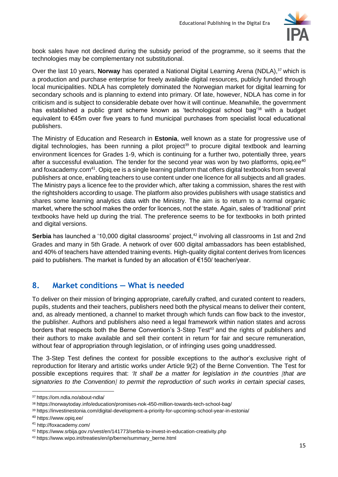

book sales have not declined during the subsidy period of the programme, so it seems that the technologies may be complementary not substitutional.

Over the last 10 years, **Norway** has operated a National Digital Learning Arena (NDLA),<sup>37</sup> which is a production and purchase enterprise for freely available digital resources, publicly funded through local municipalities. NDLA has completely dominated the Norwegian market for digital learning for secondary schools and is planning to extend into primary. Of late, however, NDLA has come in for criticism and is subject to considerable debate over how it will continue. Meanwhile, the government has established a public grant scheme known as 'technological school bag'<sup>38</sup> with a budget equivalent to €45m over five years to fund municipal purchases from specialist local educational publishers.

The Ministry of Education and Research in **Estonia**, well known as a state for progressive use of digital technologies, has been running a pilot project<sup>39</sup> to procure digital textbook and learning environment licences for Grades 1-9, which is continuing for a further two, potentially three, years after a successful evaluation. The tender for the second year was won by two platforms, opiq.ee $40$ and foxacademy.com<sup>41</sup>. Opiq.ee is a single learning platform that offers digital textbooks from several publishers at once, enabling teachers to use content under one licence for all subjects and all grades. The Ministry pays a licence fee to the provider which, after taking a commission, shares the rest with the rightsholders according to usage. The platform also provides publishers with usage statistics and shares some learning analytics data with the Ministry. The aim is to return to a normal organic market, where the school makes the order for licences, not the state. Again, sales of 'traditional' print textbooks have held up during the trial. The preference seems to be for textbooks in both printed and digital versions.

**Serbia** has launched a '10,000 digital classrooms' project,<sup>42</sup> involving all classrooms in 1st and 2nd Grades and many in 5th Grade. A network of over 600 digital ambassadors has been established, and 40% of teachers have attended training events. High-quality digital content derives from licences paid to publishers. The market is funded by an allocation of €150/ teacher/year.

# **8. Market conditions — What is needed**

To deliver on their mission of bringing appropriate, carefully crafted, and curated content to readers, pupils, students and their teachers, publishers need both the physical means to deliver their content, and, as already mentioned, a channel to market through which funds can flow back to the investor, the publisher. Authors and publishers also need a legal framework within nation states and across borders that respects both the Berne Convention's 3-Step Test<sup>43</sup> and the rights of publishers and their authors to make available and sell their content in return for fair and secure remuneration, without fear of appropriation through legislation, or of infringing uses going unaddressed.

The 3-Step Test defines the context for possible exceptions to the author's exclusive right of reproduction for literary and artistic works under Article 9(2) of the Berne Convention. The Test for possible exceptions requires that: *'It shall be a matter for legislation in the countries [that are signatories to the Convention] to permit the reproduction of such works in certain special cases,* 

<sup>37</sup> <https://om.ndla.no/about-ndla/>

<sup>38</sup> <https://norwaytoday.info/education/promises-nok-450-million-towards-tech-school-bag/>

<sup>39</sup> <https://investinestonia.com/digital-development-a-priority-for-upcoming-school-year-in-estonia/>

<sup>40</sup> https://www.opiq.ee/

<sup>41</sup> http://foxacademy.com/

<sup>42</sup> <https://www.srbija.gov.rs/vest/en/141773/serbia-to-invest-in-education-creativity.php>

<sup>43</sup> [https://www.wipo.int/treaties/en/ip/berne/summary\\_berne.html](https://www.wipo.int/treaties/en/ip/berne/summary_berne.html)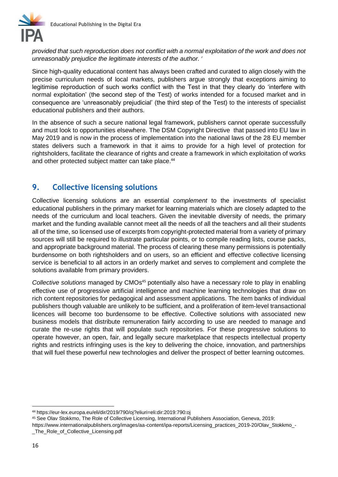

*provided that such reproduction does not conflict with a normal exploitation of the work and does not unreasonably prejudice the legitimate interests of the author. '*

Since high-quality educational content has always been crafted and curated to align closely with the precise curriculum needs of local markets, publishers argue strongly that exceptions aiming to legitimise reproduction of such works conflict with the Test in that they clearly do 'interfere with normal exploitation' (the second step of the Test) of works intended for a focused market and in consequence are 'unreasonably prejudicial' (the third step of the Test) to the interests of specialist educational publishers and their authors.

In the absence of such a secure national legal framework, publishers cannot operate successfully and must look to opportunities elsewhere. The DSM Copyright Directive that passed into EU law in May 2019 and is now in the process of implementation into the national laws of the 28 EU member states delivers such a framework in that it aims to provide for a high level of protection for rightsholders, facilitate the clearance of rights and create a framework in which exploitation of works and other protected subject matter can take place.<sup>44</sup>

#### **9. Collective licensing solutions**

Collective licensing solutions are an essential *complement* to the investments of specialist educational publishers in the primary market for learning materials which are closely adapted to the needs of the curriculum and local teachers. Given the inevitable diversity of needs, the primary market and the funding available cannot meet all the needs of all the teachers and all their students all of the time, so licensed use of excerpts from copyright-protected material from a variety of primary sources will still be required to illustrate particular points, or to compile reading lists, course packs, and appropriate background material. The process of clearing these many permissions is potentially burdensome on both rightsholders and on users, so an efficient and effective collective licensing service is beneficial to all actors in an orderly market and serves to complement and complete the solutions available from primary providers.

*Collective solutions* managed by CMOs<sup>45</sup> potentially also have a necessary role to play in enabling effective use of progressive artificial intelligence and machine learning technologies that draw on rich content repositories for pedagogical and assessment applications. The item banks of individual publishers though valuable are unlikely to be sufficient, and a proliferation of item-level transactional licences will become too burdensome to be effective. Collective solutions with associated new business models that distribute remuneration fairly according to use are needed to manage and curate the re-use rights that will populate such repositories. For these progressive solutions to operate however, an open, fair, and legally secure marketplace that respects intellectual property rights and restricts infringing uses is the key to delivering the choice, innovation, and partnerships that will fuel these powerful new technologies and deliver the prospect of better learning outcomes.

<sup>44</sup> https://eur-lex.europa.eu/eli/dir/2019/790/oj?eliuri=eli:dir:2019:790:oj

<sup>45</sup> See Olav Stokkmo, The Role of Collective Licensing, International Publishers Association, Geneva, 2019:

https://www.internationalpublishers.org/images/aa-content/ipa-reports/Licensing\_practices\_2019-20/Olav\_Stokkmo\_- \_The\_Role\_of\_Collective\_Licensing.pdf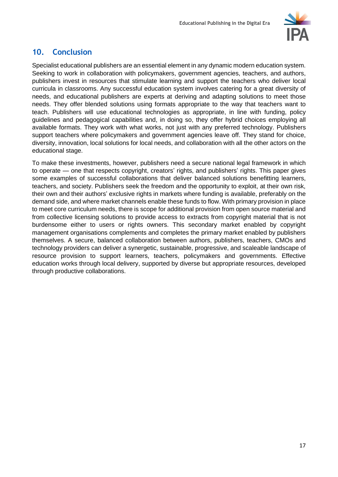

#### **10. Conclusion**

Specialist educational publishers are an essential element in any dynamic modern education system. Seeking to work in collaboration with policymakers, government agencies, teachers, and authors, publishers invest in resources that stimulate learning and support the teachers who deliver local curricula in classrooms. Any successful education system involves catering for a great diversity of needs, and educational publishers are experts at deriving and adapting solutions to meet those needs. They offer blended solutions using formats appropriate to the way that teachers want to teach. Publishers will use educational technologies as appropriate, in line with funding, policy guidelines and pedagogical capabilities and, in doing so, they offer hybrid choices employing all available formats. They work with what works, not just with any preferred technology. Publishers support teachers where policymakers and government agencies leave off. They stand for choice, diversity, innovation, local solutions for local needs, and collaboration with all the other actors on the educational stage.

To make these investments, however, publishers need a secure national legal framework in which to operate — one that respects copyright, creators' rights, and publishers' rights. This paper gives some examples of successful collaborations that deliver balanced solutions benefitting learners, teachers, and society. Publishers seek the freedom and the opportunity to exploit, at their own risk, their own and their authors' exclusive rights in markets where funding is available, preferably on the demand side, and where market channels enable these funds to flow. With primary provision in place to meet core curriculum needs, there is scope for additional provision from open source material and from collective licensing solutions to provide access to extracts from copyright material that is not burdensome either to users or rights owners. This secondary market enabled by copyright management organisations complements and completes the primary market enabled by publishers themselves. A secure, balanced collaboration between authors, publishers, teachers, CMOs and technology providers can deliver a synergetic, sustainable, progressive, and scaleable landscape of resource provision to support learners, teachers, policymakers and governments. Effective education works through local delivery, supported by diverse but appropriate resources, developed through productive collaborations.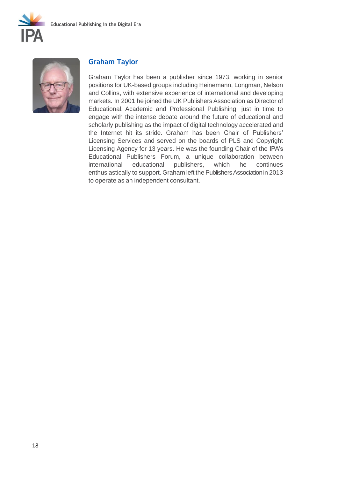



#### **Graham Taylor**

Graham Taylor has been a publisher since 1973, working in senior positions for UK-based groups including Heinemann, Longman, Nelson and Collins, with extensive experience of international and developing markets. In 2001 he joined the UK Publishers Association as Director of Educational, Academic and Professional Publishing, just in time to engage with the intense debate around the future of educational and scholarly publishing as the impact of digital technology accelerated and the Internet hit its stride. Graham has been Chair of Publishers' Licensing Services and served on the boards of PLS and Copyright Licensing Agency for 13 years. He was the founding Chair of the IPA's Educational Publishers Forum, a unique collaboration between international educational publishers, which he continues enthusiastically to support. Graham left the Publishers Associationin 2013 to operate as an independent consultant.